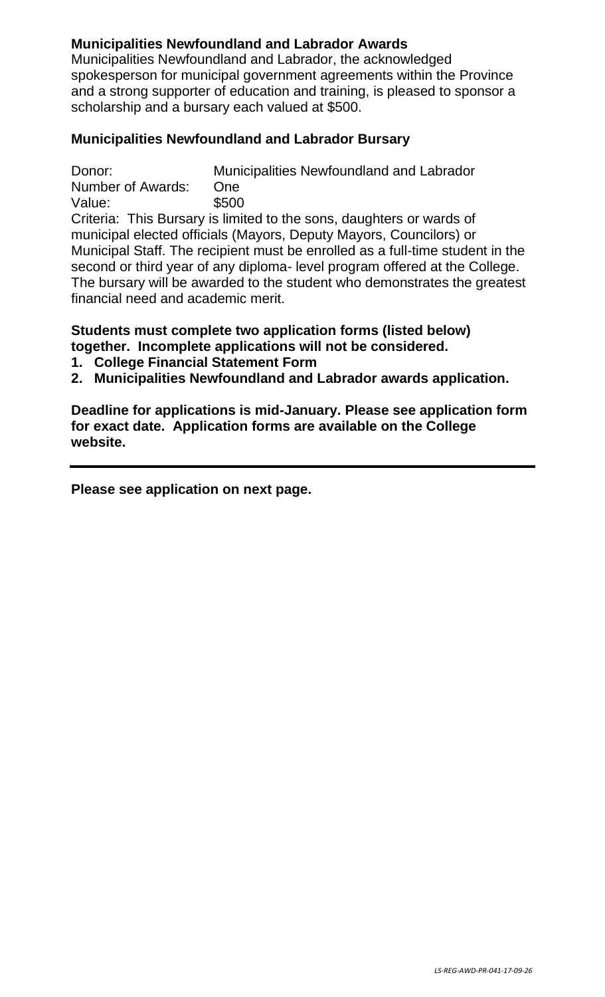# **Municipalities Newfoundland and Labrador Awards**

Municipalities Newfoundland and Labrador, the acknowledged spokesperson for municipal government agreements within the Province and a strong supporter of education and training, is pleased to sponsor a scholarship and a bursary each valued at \$500.

# **Municipalities Newfoundland and Labrador Bursary**

Donor: Municipalities Newfoundland and Labrador Number of Awards: One Value: \$500

Criteria: This Bursary is limited to the sons, daughters or wards of municipal elected officials (Mayors, Deputy Mayors, Councilors) or Municipal Staff. The recipient must be enrolled as a full-time student in the second or third year of any diploma- level program offered at the College. The bursary will be awarded to the student who demonstrates the greatest financial need and academic merit.

## **Students must complete two application forms (listed below) together. Incomplete applications will not be considered.**

- **1. College Financial Statement Form**
- **2. Municipalities Newfoundland and Labrador awards application.**

**Deadline for applications is mid-January. Please see application form for exact date. Application forms are available on the College website.**

**Please see application on next page.**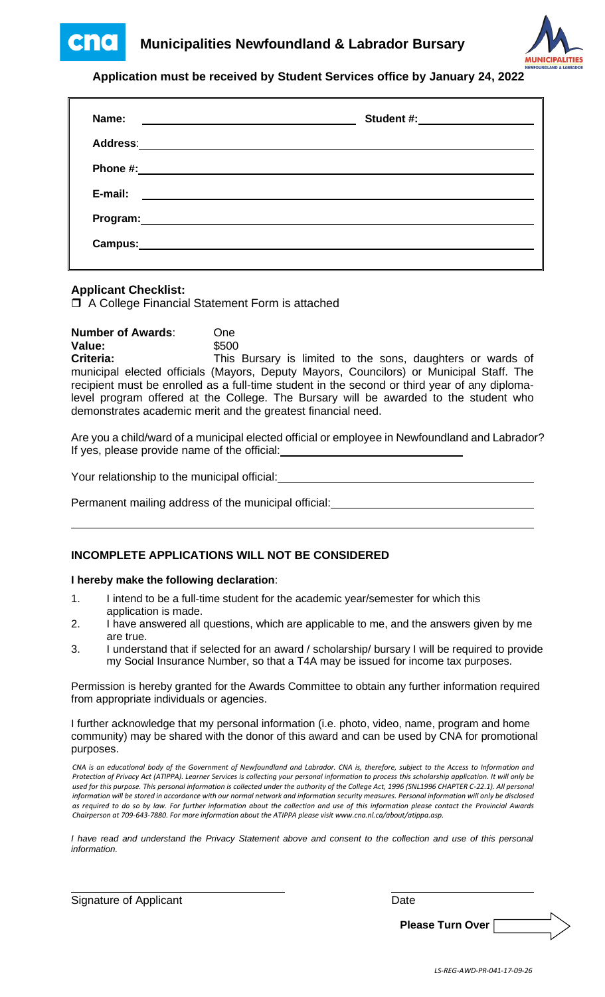



### **Application must be received by Student Services office by January 24, 2022**

| Name:<br><u> The Common Common State of the Common State of the Common State of the Common State of the Common State of the Common State of the Common State of the Common State of the Common State of the Common State of the Common St</u> | Student #:____________________                                                                                       |
|-----------------------------------------------------------------------------------------------------------------------------------------------------------------------------------------------------------------------------------------------|----------------------------------------------------------------------------------------------------------------------|
| <b>Address:</b>                                                                                                                                                                                                                               | <u> 1989 - Andrea Andrew Maria (h. 1989).</u>                                                                        |
| Phone #:                                                                                                                                                                                                                                      | <u> 1989 - Andrea Andrew Maria (h. 1989).</u>                                                                        |
| E-mail:                                                                                                                                                                                                                                       | <u> Alexandria de la contrada de la contrada de la contrada de la contrada de la contrada de la contrada de la c</u> |
| Program: Note and the set of the set of the set of the set of the set of the set of the set of the set of the set of the set of the set of the set of the set of the set of the set of the set of the set of the set of the se                |                                                                                                                      |
| Campus:                                                                                                                                                                                                                                       |                                                                                                                      |

### **Applicant Checklist:**

□ A College Financial Statement Form is attached

**Number of Awards**: One **Value:** \$500 Criteria: This Bursary is limited to the sons, daughters or wards of municipal elected officials (Mayors, Deputy Mayors, Councilors) or Municipal Staff. The recipient must be enrolled as a full-time student in the second or third year of any diplomalevel program offered at the College. The Bursary will be awarded to the student who demonstrates academic merit and the greatest financial need.

Are you a child/ward of a municipal elected official or employee in Newfoundland and Labrador? If yes, please provide name of the official:

Your relationship to the municipal official:

Permanent mailing address of the municipal official:

### **INCOMPLETE APPLICATIONS WILL NOT BE CONSIDERED**

#### **I hereby make the following declaration**:

- 1. I intend to be a full-time student for the academic year/semester for which this application is made.
- 2. I have answered all questions, which are applicable to me, and the answers given by me are true.
- 3. I understand that if selected for an award / scholarship/ bursary I will be required to provide my Social Insurance Number, so that a T4A may be issued for income tax purposes.

Permission is hereby granted for the Awards Committee to obtain any further information required from appropriate individuals or agencies.

I further acknowledge that my personal information (i.e. photo, video, name, program and home community) may be shared with the donor of this award and can be used by CNA for promotional purposes.

*CNA is an educational body of the Government of Newfoundland and Labrador. CNA is, therefore, subject to the Access to Information and Protection of Privacy Act (ATIPPA). Learner Services is collecting your personal information to process this scholarship application. It will only be used for this purpose. This personal information is collected under the authority of the College Act, 1996 (SNL1996 CHAPTER C-22.1). All personal information will be stored in accordance with our normal network and information security measures. Personal information will only be disclosed as required to do so by law. For further information about the collection and use of this information please contact the Provincial Awards Chairperson at 709-643-7880. For more information about the ATIPPA please visit www.cna.nl.ca/about/atippa.asp.*

*I have read and understand the Privacy Statement above and consent to the collection and use of this personal information.*

Signature of Applicant Date Date Date Date

**Please Turn Over**